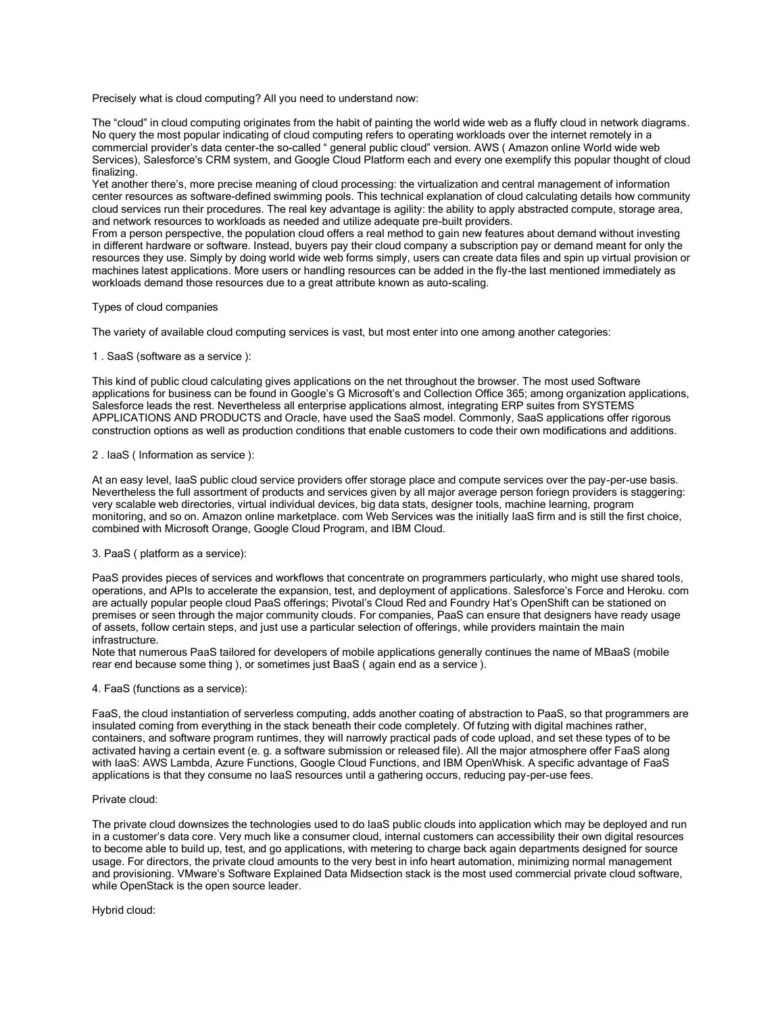Precisely what is cloud computing? All you need to understand now:

The "cloud" in cloud computing originates from the habit of painting the world wide web as a fluffy cloud in network diagrams. No query the most popular indicating of cloud computing refers to operating workloads over the internet remotely in a commercial provider's data center-the so-called " general public cloud" version. AWS ( Amazon online World wide web Services), Salesforce's CRM system, and Google Cloud Platform each and every one exemplify this popular thought of cloud finalizing.

Yet another there's, more precise meaning of cloud processing: the virtualization and central management of information center resources as software-defined swimming pools. This technical explanation of cloud calculating details how community cloud services run their procedures. The real key advantage is agility: the ability to apply abstracted compute, storage area, and network resources to workloads as needed and utilize adequate pre-built providers.

From a person perspective, the population cloud offers a real method to gain new features about demand without investing in different hardware or software. Instead, buyers pay their cloud company a subscription pay or demand meant for only the resources they use. Simply by doing world wide web forms simply, users can create data files and spin up virtual provision or machines latest applications. More users or handling resources can be added in the fly-the last mentioned immediately as workloads demand those resources due to a great attribute known as auto-scaling.

## Types of cloud companies

The variety of available cloud computing services is vast, but most enter into one among another categories:

# 1 . SaaS (software as a service ):

This kind of public cloud calculating gives applications on the net throughout the browser. The most used Software applications for business can be found in Google's G Microsoft's and Collection Office 365; among organization applications, Salesforce leads the rest. Nevertheless all enterprise applications almost, integrating ERP suites from SYSTEMS APPLICATIONS AND PRODUCTS and Oracle, have used the SaaS model. Commonly, SaaS applications offer rigorous construction options as well as production conditions that enable customers to code their own modifications and additions.

## 2 . IaaS ( Information as service ):

At an easy level, IaaS public cloud service providers offer storage place and compute services over the pay-per-use basis. Nevertheless the full assortment of products and services given by all major average person foriegn providers is staggering: very scalable web directories, virtual individual devices, big data stats, designer tools, machine learning, program monitoring, and so on. Amazon online marketplace. com Web Services was the initially IaaS firm and is still the first choice, combined with Microsoft Orange, Google Cloud Program, and IBM Cloud.

#### 3. PaaS ( platform as a service):

PaaS provides pieces of services and workflows that concentrate on programmers particularly, who might use shared tools, operations, and APIs to accelerate the expansion, test, and deployment of applications. Salesforce's Force and Heroku. com are actually popular people cloud PaaS offerings; Pivotal's Cloud Red and Foundry Hat's OpenShift can be stationed on premises or seen through the major community clouds. For companies, PaaS can ensure that designers have ready usage of assets, follow certain steps, and just use a particular selection of offerings, while providers maintain the main infrastructure.

Note that numerous PaaS tailored for developers of mobile applications generally continues the name of MBaaS (mobile rear end because some thing ), or sometimes just BaaS ( again end as a service ).

## 4. FaaS (functions as a service):

FaaS, the cloud instantiation of serverless computing, adds another coating of abstraction to PaaS, so that programmers are insulated coming from everything in the stack beneath their code completely. Of futzing with digital machines rather, containers, and software program runtimes, they will narrowly practical pads of code upload, and set these types of to be activated having a certain event (e. g. a software submission or released file). All the major atmosphere offer FaaS along with IaaS: AWS Lambda, Azure Functions, Google Cloud Functions, and IBM OpenWhisk. A specific advantage of FaaS applications is that they consume no IaaS resources until a gathering occurs, reducing pay-per-use fees.

## Private cloud:

The private cloud downsizes the technologies used to do IaaS public clouds into application which may be deployed and run in a customer's data core. Very much like a consumer cloud, internal customers can accessibility their own digital resources to become able to build up, test, and go applications, with metering to charge back again departments designed for source usage. For directors, the private cloud amounts to the very best in info heart automation, minimizing normal management and provisioning. VMware's Software Explained Data Midsection stack is the most used commercial private cloud software, while OpenStack is the open source leader.

Hybrid cloud: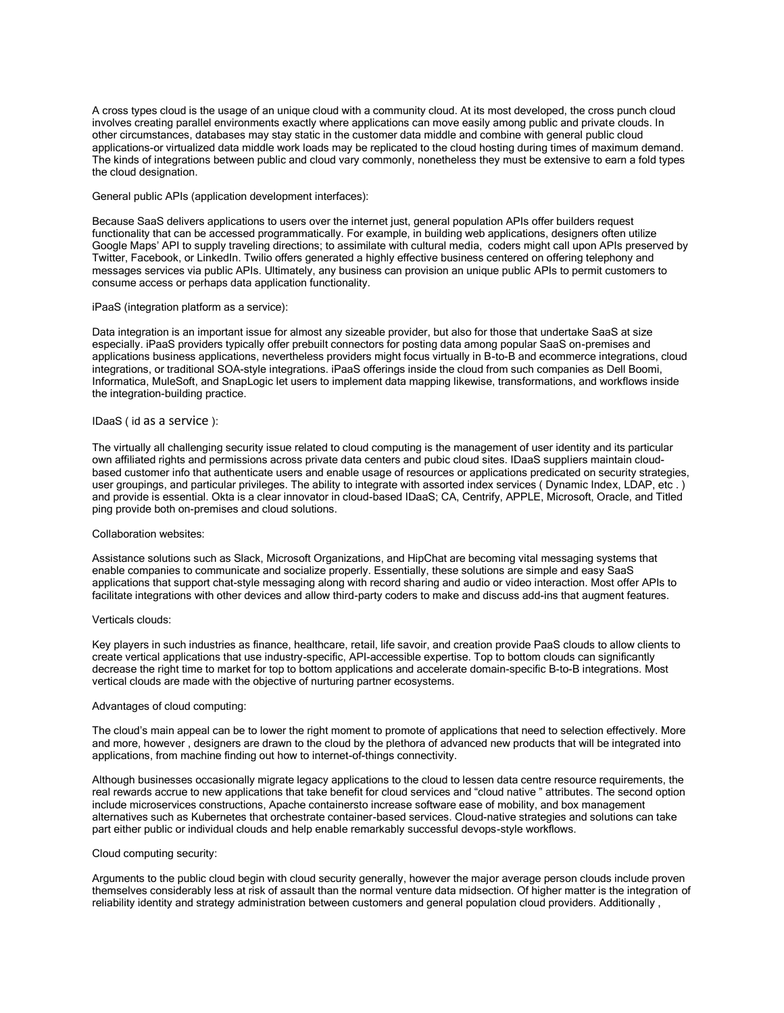A cross types cloud is the usage of an unique cloud with a community cloud. At its most developed, the cross punch cloud involves creating parallel environments exactly where applications can move easily among public and private clouds. In other circumstances, databases may stay static in the customer data middle and combine with general public cloud applications-or virtualized data middle work loads may be replicated to the cloud hosting during times of maximum demand. The kinds of integrations between public and cloud vary commonly, nonetheless they must be extensive to earn a fold types the cloud designation.

General public APIs (application development interfaces):

Because SaaS delivers applications to users over the internet just, general population APIs offer builders request functionality that can be accessed programmatically. For example, in building web applications, designers often utilize Google Maps' API to supply traveling directions; to assimilate with cultural media, coders might call upon APIs preserved by Twitter, Facebook, or LinkedIn. Twilio offers generated a highly effective business centered on offering telephony and messages services via public APIs. Ultimately, any business can provision an unique public APIs to permit customers to consume access or perhaps data application functionality.

### iPaaS (integration platform as a service):

Data integration is an important issue for almost any sizeable provider, but also for those that undertake SaaS at size especially. iPaaS providers typically offer prebuilt connectors for posting data among popular SaaS on-premises and applications business applications, nevertheless providers might focus virtually in B-to-B and ecommerce integrations, cloud integrations, or traditional SOA-style integrations. iPaaS offerings inside the cloud from such companies as Dell Boomi, Informatica, MuleSoft, and SnapLogic let users to implement data mapping likewise, transformations, and workflows inside the integration-building practice.

## IDaaS ( id as a service ):

The virtually all challenging security issue related to cloud computing is the management of user identity and its particular own affiliated rights and permissions across private data centers and pubic cloud sites. IDaaS suppliers maintain cloudbased customer info that authenticate users and enable usage of resources or applications predicated on security strategies, user groupings, and particular privileges. The ability to integrate with assorted index services ( Dynamic Index, LDAP, etc . ) and provide is essential. Okta is a clear innovator in cloud-based IDaaS; CA, Centrify, APPLE, Microsoft, Oracle, and Titled ping provide both on-premises and cloud solutions.

### Collaboration websites:

Assistance solutions such as Slack, Microsoft Organizations, and HipChat are becoming vital messaging systems that enable companies to communicate and socialize properly. Essentially, these solutions are simple and easy SaaS applications that support chat-style messaging along with record sharing and audio or video interaction. Most offer APIs to facilitate integrations with other devices and allow third-party coders to make and discuss add-ins that augment features.

### Verticals clouds:

Key players in such industries as finance, healthcare, retail, life savoir, and creation provide PaaS clouds to allow clients to create vertical applications that use industry-specific, API-accessible expertise. Top to bottom clouds can significantly decrease the right time to market for top to bottom applications and accelerate domain-specific B-to-B integrations. Most vertical clouds are made with the objective of nurturing partner ecosystems.

#### Advantages of cloud computing:

The cloud's main appeal can be to lower the right moment to promote of applications that need to selection effectively. More and more, however , designers are drawn to the cloud by the plethora of advanced new products that will be integrated into applications, from machine finding out how to internet-of-things connectivity.

Although businesses occasionally migrate legacy applications to the cloud to lessen data centre resource requirements, the real rewards accrue to new applications that take benefit for cloud services and "cloud native " attributes. The second option include microservices constructions, Apache containersto increase software ease of mobility, and box management alternatives such as Kubernetes that orchestrate container-based services. Cloud-native strategies and solutions can take part either public or individual clouds and help enable remarkably successful devops-style workflows.

#### Cloud computing security:

Arguments to the public cloud begin with cloud security generally, however the major average person clouds include proven themselves considerably less at risk of assault than the normal venture data midsection. Of higher matter is the integration of reliability identity and strategy administration between customers and general population cloud providers. Additionally ,